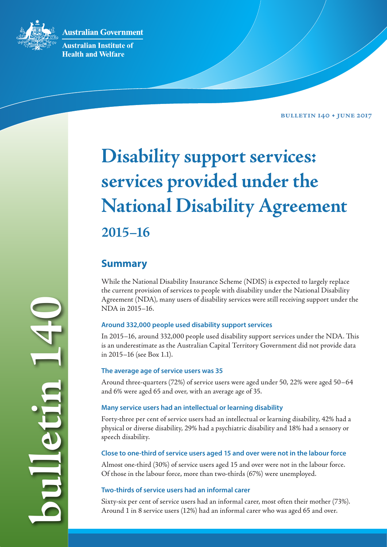**Australian Government** 



**Australian Institute of Health and Welfare** 

**Bulletin 140 • June 2017**

# **Disability support services: services provided under the National Disability Agreement 2015–16**

# **Summary**

While the National Disability Insurance Scheme (NDIS) is expected to largely replace the current provision of services to people with disability under the National Disability Agreement (NDA), many users of disability services were still receiving support under the NDA in 2015–16.

## **Around 332,000 people used disability support services**

In 2015–16, around 332,000 people used disability support services under the NDA. This is an underestimate as the Australian Capital Territory Government did not provide data in 2015–16 (see Box 1.1).

## **The average age of service users was 35**

Around three-quarters (72%) of service users were aged under 50, 22% were aged 50–64 and 6% were aged 65 and over, with an average age of 35.

## **Many service users had an intellectual or learning disability**

Forty-three per cent of service users had an intellectual or learning disability, 42% had a physical or diverse disability, 29% had a psychiatric disability and 18% had a sensory or speech disability.

## **Close to one-third of service users aged 15 and over were not in the labour force**

Almost one-third (30%) of service users aged 15 and over were not in the labour force. Of those in the labour force, more than two-thirds (67%) were unemployed.

## **Two-thirds of service users had an informal carer**

Sixty-six per cent of service users had an informal carer, most often their mother (73%). Around 1 in 8 service users (12%) had an informal carer who was aged 65 and over.

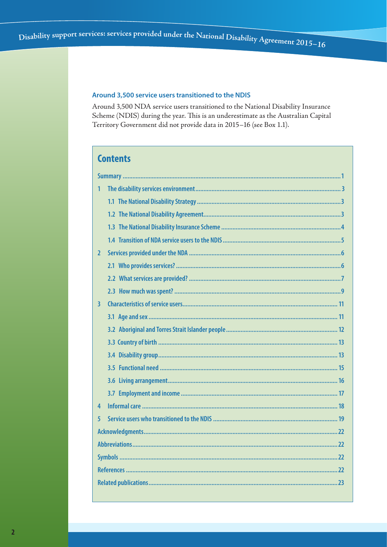#### Around 3,500 service users transitioned to the NDIS

Around 3,500 NDA service users transitioned to the National Disability Insurance Scheme (NDIS) during the year. This is an underestimate as the Australian Capital Territory Government did not provide data in 2015-16 (see Box 1.1).

# **Contents**

| 1<br>2<br>$\overline{\mathbf{3}}$<br>4<br>5 |  |
|---------------------------------------------|--|
|                                             |  |
|                                             |  |
|                                             |  |
|                                             |  |
|                                             |  |
|                                             |  |
|                                             |  |
|                                             |  |
|                                             |  |
|                                             |  |
|                                             |  |
|                                             |  |
|                                             |  |
|                                             |  |
|                                             |  |
|                                             |  |
|                                             |  |
|                                             |  |
|                                             |  |
|                                             |  |
|                                             |  |
|                                             |  |
|                                             |  |
|                                             |  |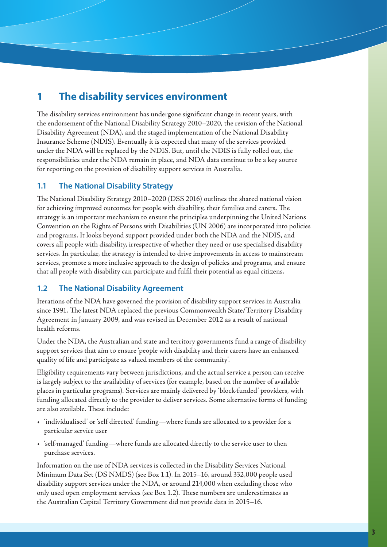# **1 The disability services environment**

The disability services environment has undergone significant change in recent years, with the endorsement of the National Disability Strategy 2010–2020, the revision of the National Disability Agreement (NDA), and the staged implementation of the National Disability Insurance Scheme (NDIS). Eventually it is expected that many of the services provided under the NDA will be replaced by the NDIS. But, until the NDIS is fully rolled out, the responsibilities under the NDA remain in place, and NDA data continue to be a key source for reporting on the provision of disability support services in Australia.

## **1.1 The National Disability Strategy**

The National Disability Strategy 2010–2020 (DSS 2016) outlines the shared national vision for achieving improved outcomes for people with disability, their families and carers. The strategy is an important mechanism to ensure the principles underpinning the United Nations Convention on the Rights of Persons with Disabilities (UN 2006) are incorporated into policies and programs. It looks beyond support provided under both the NDA and the NDIS, and covers all people with disability, irrespective of whether they need or use specialised disability services. In particular, the strategy is intended to drive improvements in access to mainstream services, promote a more inclusive approach to the design of policies and programs, and ensure that all people with disability can participate and fulfil their potential as equal citizens.

## **1.2 The National Disability Agreement**

Iterations of the NDA have governed the provision of disability support services in Australia since 1991. The latest NDA replaced the previous Commonwealth State/Territory Disability Agreement in January 2009, and was revised in December 2012 as a result of national health reforms.

Under the NDA, the Australian and state and territory governments fund a range of disability support services that aim to ensure 'people with disability and their carers have an enhanced quality of life and participate as valued members of the community'.

Eligibility requirements vary between jurisdictions, and the actual service a person can receive is largely subject to the availability of services (for example, based on the number of available places in particular programs). Services are mainly delivered by 'block-funded' providers, with funding allocated directly to the provider to deliver services. Some alternative forms of funding are also available. These include:

- 'individualised' or 'self directed' funding—where funds are allocated to a provider for a particular service user
- 'self-managed' funding—where funds are allocated directly to the service user to then purchase services.

Information on the use of NDA services is collected in the Disability Services National Minimum Data Set (DS NMDS) (see Box 1.1). In 2015–16, around 332,000 people used disability support services under the NDA, or around 214,000 when excluding those who only used open employment services (see Box 1.2). These numbers are underestimates as the Australian Capital Territory Government did not provide data in 2015–16.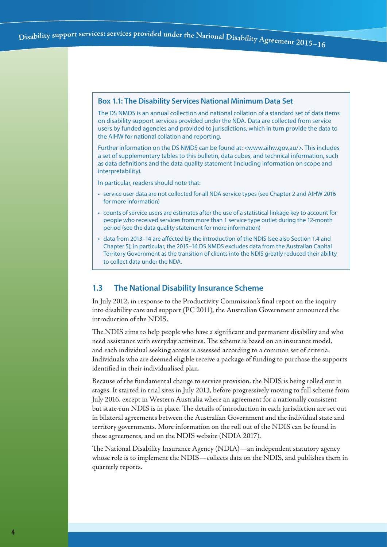#### **Box 1.1: The Disability Services National Minimum Data Set**

The DS NMDS is an annual collection and national collation of a standard set of data items on disability support services provided under the NDA. Data are collected from service users by funded agencies and provided to jurisdictions, which in turn provide the data to the AIHW for national collation and reporting.

Further information on the DS NMDS can be found at: <www.aihw.gov.au/>. This includes a set of supplementary tables to this bulletin, data cubes, and technical information, such as data definitions and the data quality statement (including information on scope and interpretability).

In particular, readers should note that:

- service user data are not collected for all NDA service types (see Chapter 2 and AIHW 2016 for more information)
- counts of service users are estimates after the use of a statistical linkage key to account for people who received services from more than 1 service type outlet during the 12-month period (see the data quality statement for more information)
- data from 2013–14 are affected by the introduction of the NDIS (see also Section 1.4 and Chapter 5); in particular, the 2015–16 DS NMDS excludes data from the Australian Capital Territory Government as the transition of clients into the NDIS greatly reduced their ability to collect data under the NDA.

#### **1.3 The National Disability Insurance Scheme**

In July 2012, in response to the Productivity Commission's final report on the inquiry into disability care and support (PC 2011), the Australian Government announced the introduction of the NDIS.

The NDIS aims to help people who have a significant and permanent disability and who need assistance with everyday activities. The scheme is based on an insurance model, and each individual seeking access is assessed according to a common set of criteria. Individuals who are deemed eligible receive a package of funding to purchase the supports identified in their individualised plan.

Because of the fundamental change to service provision, the NDIS is being rolled out in stages. It started in trial sites in July 2013, before progressively moving to full scheme from July 2016, except in Western Australia where an agreement for a nationally consistent but state-run NDIS is in place. The details of introduction in each jurisdiction are set out in bilateral agreements between the Australian Government and the individual state and territory governments. More information on the roll out of the NDIS can be found in these agreements, and on the NDIS website (NDIA 2017).

The National Disability Insurance Agency (NDIA)—an independent statutory agency whose role is to implement the NDIS—collects data on the NDIS, and publishes them in quarterly reports.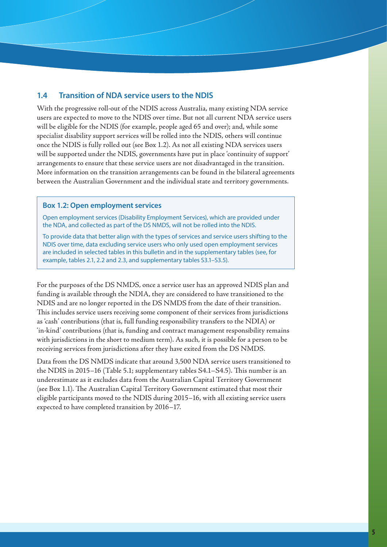#### **1.4 Transition of NDA service users to the NDIS**

With the progressive roll-out of the NDIS across Australia, many existing NDA service users are expected to move to the NDIS over time. But not all current NDA service users will be eligible for the NDIS (for example, people aged 65 and over); and, while some specialist disability support services will be rolled into the NDIS, others will continue once the NDIS is fully rolled out (see Box 1.2). As not all existing NDA services users will be supported under the NDIS, governments have put in place 'continuity of support' arrangements to ensure that these service users are not disadvantaged in the transition. More information on the transition arrangements can be found in the bilateral agreements between the Australian Government and the individual state and territory governments.

#### **Box 1.2: Open employment services**

Open employment services (Disability Employment Services), which are provided under the NDA, and collected as part of the DS NMDS, will not be rolled into the NDIS.

To provide data that better align with the types of services and service users shifting to the NDIS over time, data excluding service users who only used open employment services are included in selected tables in this bulletin and in the supplementary tables (see, for example, tables 2.1, 2.2 and 2.3, and supplementary tables S3.1–S3.5).

For the purposes of the DS NMDS, once a service user has an approved NDIS plan and funding is available through the NDIA, they are considered to have transitioned to the NDIS and are no longer reported in the DS NMDS from the date of their transition. This includes service users receiving some component of their services from jurisdictions as 'cash' contributions (that is, full funding responsibility transfers to the NDIA) or 'in-kind' contributions (that is, funding and contract management responsibility remains with jurisdictions in the short to medium term). As such, it is possible for a person to be receiving services from jurisdictions after they have exited from the DS NMDS.

Data from the DS NMDS indicate that around 3,500 NDA service users transitioned to the NDIS in 2015–16 (Table 5.1; supplementary tables S4.1–S4.5). This number is an underestimate as it excludes data from the Australian Capital Territory Government (see Box 1.1). The Australian Capital Territory Government estimated that most their eligible participants moved to the NDIS during 2015–16, with all existing service users expected to have completed transition by 2016–17.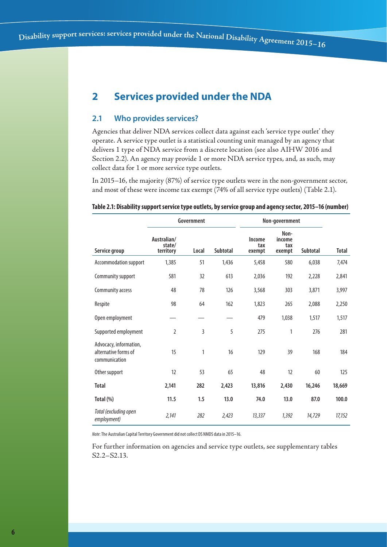# **2 Services provided under the NDA**

#### **2.1 Who provides services?**

Agencies that deliver NDA services collect data against each 'service type outlet' they operate. A service type outlet is a statistical counting unit managed by an agency that delivers 1 type of NDA service from a discrete location (see also AIHW 2016 and Section 2.2). An agency may provide 1 or more NDA service types, and, as such, may collect data for 1 or more service type outlets.

In 2015–16, the majority (87%) of service type outlets were in the non-government sector, and most of these were income tax exempt (74% of all service type outlets) (Table 2.1).

#### **Table 2.1: Disability support service type outlets, by service group and agency sector, 2015–16 (number)**

|                                                                 |                                    | Government |          |                         | Non-government                  |          |        |  |
|-----------------------------------------------------------------|------------------------------------|------------|----------|-------------------------|---------------------------------|----------|--------|--|
| Service group                                                   | Australian/<br>state/<br>territory | Local      | Subtotal | Income<br>tax<br>exempt | Non-<br>income<br>tax<br>exempt | Subtotal | Total  |  |
| Accommodation support                                           | 1,385                              | 51         | 1,436    | 5,458                   | 580                             | 6,038    | 7,474  |  |
| Community support                                               | 581                                | 32         | 613      | 2,036                   | 192                             | 2,228    | 2,841  |  |
| Community access                                                | 48                                 | 78         | 126      | 3,568                   | 303                             | 3,871    | 3,997  |  |
| Respite                                                         | 98                                 | 64         | 162      | 1,823                   | 265                             | 2,088    | 2,250  |  |
| Open employment                                                 |                                    |            |          | 479                     | 1,038                           | 1,517    | 1,517  |  |
| Supported employment                                            | $\overline{2}$                     | 3          | 5        | 275                     | 1                               | 276      | 281    |  |
| Advocacy, information,<br>alternative forms of<br>communication | 15                                 | 1          | 16       | 129                     | 39                              | 168      | 184    |  |
| Other support                                                   | 12                                 | 53         | 65       | 48                      | 12                              | 60       | 125    |  |
| <b>Total</b>                                                    | 2,141                              | 282        | 2,423    | 13,816                  | 2,430                           | 16,246   | 18,669 |  |
| Total (%)                                                       | 11.5                               | 1.5        | 13.0     | 74.0                    | 13.0                            | 87.0     | 100.0  |  |
| Total (excluding open<br>employment)                            | 2,141                              | 282        | 2,423    | 13,337                  | 1,392                           | 14,729   | 17,152 |  |

*Note*: The Australian Capital Territory Government did not collect DS NMDS data in 2015–16.

For further information on agencies and service type outlets, see supplementary tables S2.2–S2.13.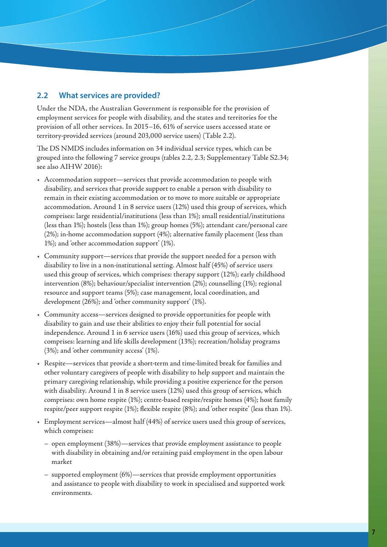## **2.2 What services are provided?**

Under the NDA, the Australian Government is responsible for the provision of employment services for people with disability, and the states and territories for the provision of all other services. In 2015–16, 61% of service users accessed state or territory-provided services (around 203,000 service users) (Table 2.2).

The DS NMDS includes information on 34 individual service types, which can be grouped into the following 7 service groups (tables 2.2, 2.3; Supplementary Table S2.34; see also AIHW 2016):

- Accommodation support—services that provide accommodation to people with disability, and services that provide support to enable a person with disability to remain in their existing accommodation or to move to more suitable or appropriate accommodation. Around 1 in 8 service users (12%) used this group of services, which comprises: large residential/institutions (less than 1%); small residential/institutions (less than 1%); hostels (less than 1%); group homes (5%); attendant care/personal care (2%); in-home accommodation support (4%); alternative family placement (less than 1%); and 'other accommodation support' (1%).
- Community support—services that provide the support needed for a person with disability to live in a non-institutional setting. Almost half (45%) of service users used this group of services, which comprises: therapy support (12%); early childhood intervention (8%); behaviour/specialist intervention (2%); counselling (1%); regional resource and support teams (5%); case management, local coordination, and development (26%); and 'other community support' (1%).
- Community access—services designed to provide opportunities for people with disability to gain and use their abilities to enjoy their full potential for social independence. Around 1 in 6 service users (16%) used this group of services, which comprises: learning and life skills development (13%); recreation/holiday programs (3%); and 'other community access' (1%).
- Respite—services that provide a short-term and time-limited break for families and other voluntary caregivers of people with disability to help support and maintain the primary caregiving relationship, while providing a positive experience for the person with disability. Around 1 in 8 service users (12%) used this group of services, which comprises: own home respite (1%); centre-based respite/respite homes (4%); host family respite/peer support respite (1%); flexible respite (8%); and 'other respite' (less than 1%).
- Employment services—almost half (44%) of service users used this group of services, which comprises:
	- open employment (38%)—services that provide employment assistance to people with disability in obtaining and/or retaining paid employment in the open labour market
	- supported employment (6%)—services that provide employment opportunities and assistance to people with disability to work in specialised and supported work environments.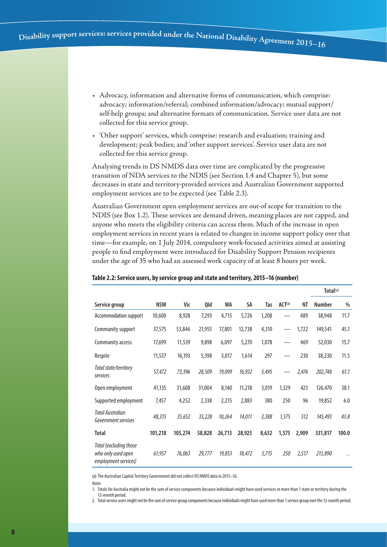- Advocacy, information and alternative forms of communication, which comprise: advocacy; information/referral; combined information/advocacy; mutual support/ self-help groups; and alternative formats of communication. Service user data are not collected for this service group.
- 'Other support' services, which comprise: research and evaluation; training and development; peak bodies; and 'other support services'. Service user data are not collected for this service group.

Analysing trends in DS NMDS data over time are complicated by the progressive transition of NDA services to the NDIS (see Section 1.4 and Chapter 5), but some decreases in state and territory-provided services and Australian Government supported employment services are to be expected (see Table 2.3).

Australian Government open employment services are out-of scope for transition to the NDIS (see Box 1.2). These services are demand driven, meaning places are not capped, and anyone who meets the eligibility criteria can access them. Much of the increase in open employment services in recent years is related to changes in income support policy over that time—for example, on 1 July 2014, compulsory work-focused activities aimed at assisting people to find employment were introduced for Disability Support Pension recipients under the age of 35 who had an assessed work capacity of at least 8 hours per week.

|                                                                      |            |         |        |        |        |       |                    |       | Total <sup>(a)</sup> |                      |
|----------------------------------------------------------------------|------------|---------|--------|--------|--------|-------|--------------------|-------|----------------------|----------------------|
| Service group                                                        | <b>NSW</b> | Vic     | Qld    | WA     | SA     | Tas   | ACT <sup>(a)</sup> | NT    | <b>Number</b>        | %                    |
| Accommodation support                                                | 10,600     | 8,928   | 7,293  | 4,715  | 5,726  | 1,208 |                    | 489   | 38,948               | 11.7                 |
| Community support                                                    | 37,575     | 53,846  | 21,955 | 17,801 | 12,738 | 4,310 |                    | 1,722 | 149,541              | 45.1                 |
| Community access                                                     | 17,699     | 11,539  | 9,898  | 6,097  | 5,270  | 1,078 |                    | 469   | 52,030               | 15.7                 |
| Respite                                                              | 11,537     | 16,193  | 5,398  | 3,017  | 1,614  | 297   |                    | 230   | 38,230               | 11.5                 |
| Total state/territory<br>services                                    | 57,472     | 73,396  | 28,509 | 19,099 | 16,932 | 5,495 |                    | 2,476 | 202,748              | 61.1                 |
| Open employment                                                      | 41,135     | 31,608  | 31,004 | 8,140  | 11,218 | 3,019 | 1,329              | 423   | 126,470              | 38.1                 |
| Supported employment                                                 | 7,457      | 4,252   | 2,338  | 2,215  | 2,883  | 380   | 250                | 96    | 19,852               | 6.0                  |
| <b>Total Australian</b><br>Government services                       | 48,315     | 35,652  | 33,228 | 10,264 | 14,011 | 3,388 | 1,575              | 512   | 145,493              | 43.8                 |
| <b>Total</b>                                                         | 101,218    | 105,274 | 58,828 | 26,713 | 28,925 | 8,632 | 1,575              | 2,909 | 331,817              | 100.0                |
| Total (excluding those<br>who only used open<br>employment services) | 61,957     | 76,063  | 29,777 | 19,853 | 18,472 | 5,715 | 250                | 2,517 | 213,890              | $\ddot{\phantom{0}}$ |

#### **Table 2.2: Service users, by service group and state and territory, 2015–16 (number)**

(a) The Australian Capital Territory Government did not collect DS NMDS data in 2015–16.

*Notes*

12-month period.

1. Totals for Australia might not be the sum of service components because individuals might have used services in more than 1 state or territory during the

2. Total service users might not be the sum of service group components because individuals might have used more than 1 service group over the 12-month period.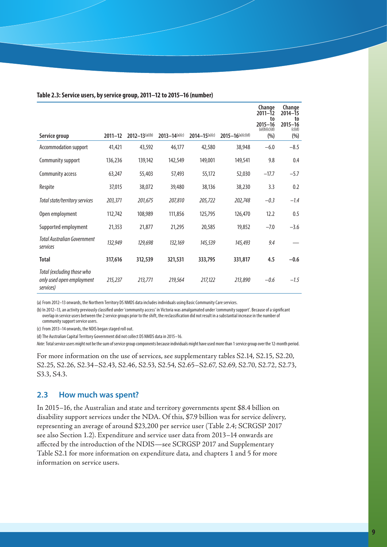|                                                                      |             |                               |                   |                               |                                  | Change<br>$2011 - 12$<br>to<br>$2015 - 16$<br>(a)(b)(c)(d) | Change<br>2014-15<br>to<br>$2015 - 16$<br>(c)(d) |
|----------------------------------------------------------------------|-------------|-------------------------------|-------------------|-------------------------------|----------------------------------|------------------------------------------------------------|--------------------------------------------------|
| Service group                                                        | $2011 - 12$ | $2012 - 13$ <sup>(a)(b)</sup> | $2013 - 14(a)(c)$ | $2014 - 15$ <sup>(a)(c)</sup> | $2015 - 16$ <sup>(a)(c)(d)</sup> | (% )                                                       | (%)                                              |
| Accommodation support                                                | 41,421      | 43,592                        | 46,177            | 42,580                        | 38,948                           | $-6.0$                                                     | $-8.5$                                           |
| Community support                                                    | 136,236     | 139,142                       | 142,549           | 149,001                       | 149,541                          | 9.8                                                        | 0.4                                              |
| Community access                                                     | 63,247      | 55,403                        | 57,493            | 55,172                        | 52,030                           | $-17.7$                                                    | $-5.7$                                           |
| Respite                                                              | 37,015      | 38,072                        | 39,480            | 38,136                        | 38,230                           | 3.3                                                        | 0.2                                              |
| Total state/territory services                                       | 203,371     | 201,675                       | 207,810           | 205,722                       | 202,748                          | $-0.3$                                                     | $-1.4$                                           |
| Open employment                                                      | 112,742     | 108,989                       | 111,856           | 125,795                       | 126,470                          | 12.2                                                       | 0.5                                              |
| Supported employment                                                 | 21,353      | 21,877                        | 21,295            | 20,585                        | 19,852                           | $-7.0$                                                     | $-3.6$                                           |
| <b>Total Australian Government</b><br>services                       | 132,949     | 129,698                       | 132,169           | 145,539                       | 145,493                          | 9.4                                                        |                                                  |
| Total                                                                | 317,616     | 312,539                       | 321,531           | 333,795                       | 331,817                          | 4.5                                                        | $-0.6$                                           |
| Total (excluding those who<br>only used open employment<br>services) | 215,237     | 213,771                       | 219,564           | 217,122                       | 213,890                          | $-0.6$                                                     | $-1.5$                                           |

#### **Table 2.3: Service users, by service group, 2011–12 to 2015–16 (number)**

(a) From 2012–13 onwards, the Northern Territory DS NMDS data includes individuals using Basic Community Care services.

(b) In 2012–13, an activity previously classified under 'community access' in Victoria was amalgamated under 'community support'. Because of a significant overlap in service users between the 2 service groups prior to the shift, the reclassification did not result in a substantial increase in the number of community support service users.

(c) From 2013–14 onwards, the NDIS began staged roll out.

(d) The Australian Capital Territory Government did not collect DS NMDS data in 2015-16.

*Note*: Total service users might not be the sum of service group components because individuals might have used more than 1 service group over the 12-month period.

For more information on the use of services, see supplementary tables S2.14, S2.15, S2.20, S2.25, S2.26, S2.34–S2.43, S2.46, S2.53, S2.54, S2.65–S2.67, S2.69, S2.70, S2.72, S2.73, S3.3, S4.3.

#### **2.3 How much was spent?**

In 2015–16, the Australian and state and territory governments spent \$8.4 billion on disability support services under the NDA. Of this, \$7.9 billion was for service delivery, representing an average of around \$23,200 per service user (Table 2.4; SCRGSP 2017 see also Section 1.2). Expenditure and service user data from 2013–14 onwards are affected by the introduction of the NDIS—see SCRGSP 2017 and Supplementary Table S2.1 for more information on expenditure data, and chapters 1 and 5 for more information on service users.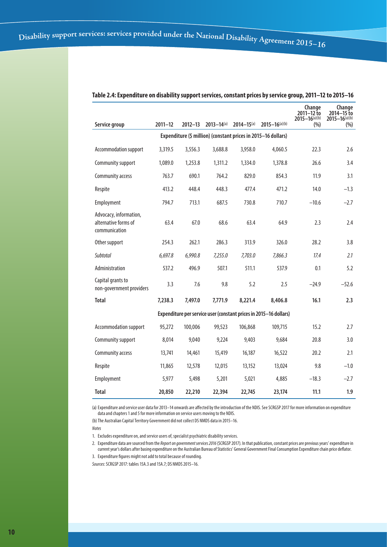|                                                                 |             |             | $2013 - 14(a)$ | $2014 - 15$ (a) | $2015 - 16$ (a)(b)                                                | Change<br>$2011 - 12$ to<br>$2015 - 16$ <sup>(a)</sup> (b) | Change<br>2014-15 to<br>$2015 - 16$ <sup>(a)(b)</sup> |
|-----------------------------------------------------------------|-------------|-------------|----------------|-----------------|-------------------------------------------------------------------|------------------------------------------------------------|-------------------------------------------------------|
| Service group                                                   | $2011 - 12$ | $2012 - 13$ |                |                 |                                                                   | (% )                                                       | (% )                                                  |
|                                                                 |             |             |                |                 | Expenditure (\$ million) (constant prices in 2015-16 dollars)     |                                                            |                                                       |
| Accommodation support                                           | 3,319.5     | 3,556.3     | 3,688.8        | 3,958.0         | 4,060.5                                                           | 22.3                                                       | 2.6                                                   |
| Community support                                               | 1,089.0     | 1,253.8     | 1,311.2        | 1,334.0         | 1,378.8                                                           | 26.6                                                       | 3.4                                                   |
| Community access                                                | 763.7       | 690.1       | 764.2          | 829.0           | 854.3                                                             | 11.9                                                       | 3.1                                                   |
| Respite                                                         | 413.2       | 448.4       | 448.3          | 477.4           | 471.2                                                             | 14.0                                                       | $-1.3$                                                |
| Employment                                                      | 794.7       | 713.1       | 687.5          | 730.8           | 710.7                                                             | $-10.6$                                                    | $-2.7$                                                |
| Advocacy, information,<br>alternative forms of<br>communication | 63.4        | 67.0        | 68.6           | 63.4            | 64.9                                                              | 2.3                                                        | 2.4                                                   |
| Other support                                                   | 254.3       | 262.1       | 286.3          | 313.9           | 326.0                                                             | 28.2                                                       | 3.8                                                   |
| Subtotal                                                        | 6,697.8     | 6,990.8     | 7,255.0        | 7,703.0         | 7,866.3                                                           | 17.4                                                       | 2.1                                                   |
| Administration                                                  | 537.2       | 496.9       | 507.1          | 511.1           | 537.9                                                             | 0.1                                                        | 5.2                                                   |
| Capital grants to<br>non-government providers                   | 3.3         | 7.6         | 9.8            | 5.2             | 2.5                                                               | $-24.9$                                                    | $-52.6$                                               |
| <b>Total</b>                                                    | 7,238.3     | 7,497.0     | 7.771.9        | 8,221.4         | 8,406.8                                                           | 16.1                                                       | 2.3                                                   |
|                                                                 |             |             |                |                 | Expenditure per service user (constant prices in 2015-16 dollars) |                                                            |                                                       |
| Accommodation support                                           | 95,272      | 100,006     | 99,523         | 106,868         | 109,715                                                           | 15.2                                                       | 2.7                                                   |
| Community support                                               | 8,014       | 9,040       | 9,224          | 9,403           | 9,684                                                             | 20.8                                                       | 3.0                                                   |
| Community access                                                | 13,741      | 14,461      | 15,419         | 16,187          | 16,522                                                            | 20.2                                                       | 2.1                                                   |
| Respite                                                         | 11,865      | 12,578      | 12,015         | 13,152          | 13,024                                                            | 9.8                                                        | $-1.0$                                                |
| Employment                                                      | 5,977       | 5,498       | 5,201          | 5,021           | 4,885                                                             | $-18.3$                                                    | $-2.7$                                                |
| <b>Total</b>                                                    | 20,850      | 22,210      | 22,394         | 22,745          | 23,174                                                            | 11.1                                                       | 1.9                                                   |

#### **Table 2.4: Expenditure on disability support services, constant prices by service group, 2011–12 to 2015–16**

(a) Expenditure and service user data for 2013–14 onwards are affected by the introduction of the NDIS. See SCRGSP 2017 for more information on expenditure data and chapters 1 and 5 for more information on service users moving to the NDIS.

(b) The Australian Capital Territory Government did not collect DS NMDS data in 2015-16.

*Notes*

1. Excludes expenditure on, and service users of, specialist psychiatric disability services.

2. Expenditure data are sourced from the *Report on government services 2016* (SCRGSP 2017). In that publication, constant prices are previous years' expenditure in current year's dollars after basing expenditure on the Australian Bureau of Statistics' General Government Final Consumption Expenditure chain price deflator.

3. Expenditure figures might not add to total because of rounding.

*Sources*: SCRGSP 2017: tables 15A.3 and 15A.7; DS NMDS 2015–16.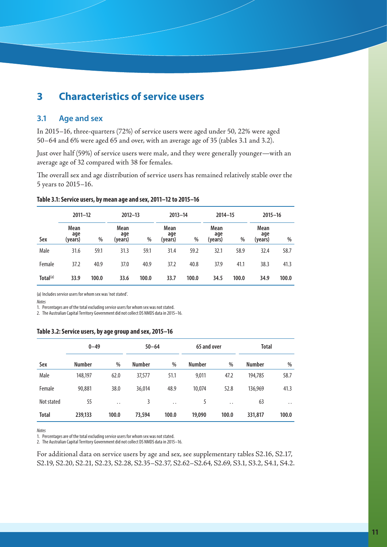# **3 Characteristics of service users**

#### **3.1 Age and sex**

In 2015–16, three-quarters (72%) of service users were aged under 50, 22% were aged 50–64 and 6% were aged 65 and over, with an average age of 35 (tables 3.1 and 3.2).

Just over half (59%) of service users were male, and they were generally younger—with an average age of 32 compared with 38 for females.

The overall sex and age distribution of service users has remained relatively stable over the 5 years to 2015–16.

| Table 3.1: Service users, by mean age and sex, 2011-12 to 2015-16 |  |  |
|-------------------------------------------------------------------|--|--|
|-------------------------------------------------------------------|--|--|

|                      | $2011 - 12$            |       | $2012 - 13$            |       | $2013 - 14$<br>$2014 - 15$ |       | $2015 - 16$            |       |                        |       |
|----------------------|------------------------|-------|------------------------|-------|----------------------------|-------|------------------------|-------|------------------------|-------|
| Sex                  | Mean<br>age<br>(years) | %     | Mean<br>age<br>(years) | %     | Mean<br>age<br>(years)     | %     | Mean<br>age<br>(years) | %     | Mean<br>age<br>(years) | $\%$  |
| Male                 | 31.6                   | 59.1  | 31.3                   | 59.1  | 31.4                       | 59.2  | 32.1                   | 58.9  | 32.4                   | 58.7  |
| Female               | 37.2                   | 40.9  | 37.0                   | 40.9  | 37.2                       | 40.8  | 37.9                   | 41.1  | 38.3                   | 41.3  |
| Total <sup>(a)</sup> | 33.9                   | 100.0 | 33.6                   | 100.0 | 33.7                       | 100.0 | 34.5                   | 100.0 | 34.9                   | 100.0 |

(a) Includes service users for whom sex was 'not stated'.

*Notes*

1. Percentages are of the total excluding service users for whom sex was not stated.

2. The Australian Capital Territory Government did not collect DS NMDS data in 2015–16.

#### **Table 3.2: Service users, by age group and sex, 2015–16**

|              | $0 - 49$      |                      | $50 - 64$     |           | 65 and over   |                      |               | <b>Total</b> |  |
|--------------|---------------|----------------------|---------------|-----------|---------------|----------------------|---------------|--------------|--|
| Sex          | <b>Number</b> | $\%$                 | <b>Number</b> | %         | <b>Number</b> | %                    | <b>Number</b> | $\%$         |  |
| Male         | 148,197       | 62.0                 | 37,577        | 51.1      | 9,011         | 47.2                 | 194.785       | 58.7         |  |
| Female       | 90,881        | 38.0                 | 36,014        | 48.9      | 10.074        | 52.8                 | 136,969       | 41.3         |  |
| Not stated   | 55            | $\ddot{\phantom{0}}$ | 3             | $\cdot$ . | 5             | $\ddot{\phantom{a}}$ | 63            | $\cdot$ .    |  |
| <b>Total</b> | 239,133       | 100.0                | 73,594        | 100.0     | 19,090        | 100.0                | 331,817       | 100.0        |  |

*Notes*

1. Percentages are of the total excluding service users for whom sex was not stated.

2. The Australian Capital Territory Government did not collect DS NMDS data in 2015–16.

For additional data on service users by age and sex, see supplementary tables S2.16, S2.17, S2.19, S2.20, S2.21, S2.23, S2.28, S2.35–S2.37, S2.62–S2.64, S2.69, S3.1, S3.2, S4.1, S4.2.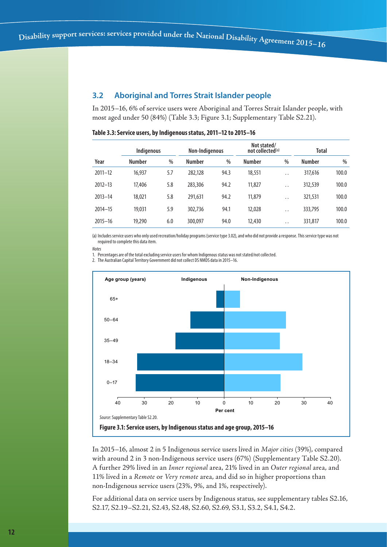## **3.2 Aboriginal and Torres Strait Islander people**

In 2015–16, 6% of service users were Aboriginal and Torres Strait Islander people, with most aged under 50 (84%) (Table 3.3; Figure 3.1; Supplementary Table S2.21).

|             | Indigenous    |     | Non-Indigenous |      | Not stated/<br>not collected <sup>(a)</sup> |                      | <b>Total</b>  |               |  |
|-------------|---------------|-----|----------------|------|---------------------------------------------|----------------------|---------------|---------------|--|
| Year        | <b>Number</b> | %   | <b>Number</b>  | $\%$ | <b>Number</b>                               | $\%$                 | <b>Number</b> | $\frac{0}{0}$ |  |
| $2011 - 12$ | 16,937        | 5.7 | 282.128        | 94.3 | 18,551                                      | $\ddot{\phantom{0}}$ | 317,616       | 100.0         |  |
| $2012 - 13$ | 17,406        | 5.8 | 283,306        | 94.2 | 11,827                                      | $\ddot{\phantom{0}}$ | 312,539       | 100.0         |  |
| $2013 - 14$ | 18,021        | 5.8 | 291.631        | 94.2 | 11,879                                      | $\ddot{\phantom{0}}$ | 321,531       | 100.0         |  |
| $2014 - 15$ | 19.031        | 5.9 | 302,736        | 94.1 | 12,028                                      | $\ddot{\phantom{0}}$ | 333,795       | 100.0         |  |
| $2015 - 16$ | 19,290        | 6.0 | 300,097        | 94.0 | 12,430                                      | $\ddot{\phantom{0}}$ | 331,817       | 100.0         |  |

#### **Table 3.3: Service users, by Indigenous status, 2011–12 to 2015–16**

(a) Includes service users who only used recreation/holiday programs (service type 3.02), and who did not provide a response. This service type was not required to complete this data item.

1. Percentages are of the total excluding service users for whom Indigenous status was not stated/not collected.

2. The Australian Capital Territory Government did not collect DS NMDS data in 2015–16.



In 2015–16, almost 2 in 5 Indigenous service users lived in *Major cities* (39%), compared with around 2 in 3 non-Indigenous service users (67%) (Supplementary Table S2.20). A further 29% lived in an *Inner regional* area, 21% lived in an *Outer regional* area, and 11% lived in a *Remote* or *Very remote* area, and did so in higher proportions than non-Indigenous service users (23%, 9%, and 1%, respectively).

For additional data on service users by Indigenous status, see supplementary tables S2.16, S2.17, S2.19–S2.21, S2.43, S2.48, S2.60, S2.69, S3.1, S3.2, S4.1, S4.2.

*Notes*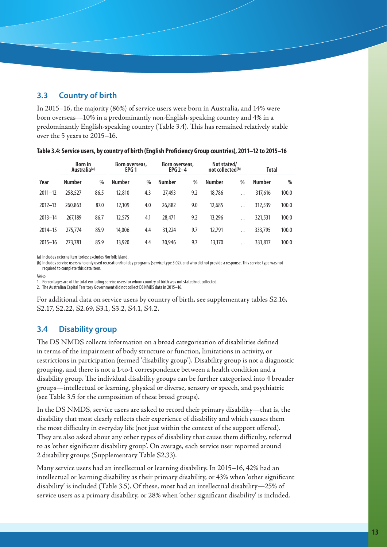## **3.3 Country of birth**

In 2015–16, the majority (86%) of service users were born in Australia, and 14% were born overseas—10% in a predominantly non-English-speaking country and 4% in a predominantly English-speaking country (Table 3.4). This has remained relatively stable over the 5 years to 2015–16.

|             | <b>Born</b> in<br>Australia <sup>(a)</sup> |      | Not stated/<br>Born overseas,<br>Born overseas,<br>EPG $2-4$<br>not collected <sup>(b)</sup><br>EPG <sub>1</sub> |      |               | Total |               |                      |               |       |
|-------------|--------------------------------------------|------|------------------------------------------------------------------------------------------------------------------|------|---------------|-------|---------------|----------------------|---------------|-------|
| Year        | <b>Number</b>                              | $\%$ | <b>Number</b>                                                                                                    | $\%$ | <b>Number</b> | %     | <b>Number</b> | $\%$                 | <b>Number</b> | $\%$  |
| $2011 - 12$ | 258,527                                    | 86.5 | 12,810                                                                                                           | 4.3  | 27,493        | 9.2   | 18,786        | $\ddot{\phantom{0}}$ | 317,616       | 100.0 |
| $2012 - 13$ | 260,863                                    | 87.0 | 12,109                                                                                                           | 4.0  | 26,882        | 9.0   | 12,685        | $\ddot{\phantom{0}}$ | 312,539       | 100.0 |
| $2013 - 14$ | 267,189                                    | 86.7 | 12,575                                                                                                           | 4.1  | 28,471        | 9.2   | 13,296        | $\ddot{\phantom{0}}$ | 321,531       | 100.0 |
| $2014 - 15$ | 275.774                                    | 85.9 | 14,006                                                                                                           | 4.4  | 31,224        | 9.7   | 12.791        | $\ddot{\phantom{0}}$ | 333,795       | 100.0 |
| $2015 - 16$ | 273,781                                    | 85.9 | 13,920                                                                                                           | 4.4  | 30,946        | 9.7   | 13,170        | $\ddot{\phantom{0}}$ | 331,817       | 100.0 |

|  | 16-16 Table 3.4: Service users, by country of birth (English Proficiency Group countries), 2011–12 to 2015 |
|--|------------------------------------------------------------------------------------------------------------|
|--|------------------------------------------------------------------------------------------------------------|

(a) Includes external territories; excludes Norfolk Island.

(b) Includes service users who only used recreation/holiday programs (service type 3.02), and who did not provide a response. This service type was not required to complete this data item.

*Notes*

1. Percentages are of the total excluding service users for whom country of birth was not stated/not collected.

2. The Australian Capital Territory Government did not collect DS NMDS data in 2015–16.

For additional data on service users by country of birth, see supplementary tables S2.16, S2.17, S2.22, S2.69, S3.1, S3.2, S4.1, S4.2.

## **3.4 Disability group**

The DS NMDS collects information on a broad categorisation of disabilities defined in terms of the impairment of body structure or function, limitations in activity, or restrictions in participation (termed 'disability group'). Disability group is not a diagnostic grouping, and there is not a 1-to-1 correspondence between a health condition and a disability group. The individual disability groups can be further categorised into 4 broader groups—intellectual or learning, physical or diverse, sensory or speech, and psychiatric (see Table 3.5 for the composition of these broad groups).

In the DS NMDS, service users are asked to record their primary disability—that is, the disability that most clearly reflects their experience of disability and which causes them the most difficulty in everyday life (not just within the context of the support offered). They are also asked about any other types of disability that cause them difficulty, referred to as 'other significant disability group'. On average, each service user reported around 2 disability groups (Supplementary Table S2.33).

Many service users had an intellectual or learning disability. In 2015–16, 42% had an intellectual or learning disability as their primary disability, or 43% when 'other significant disability' is included (Table 3.5). Of these, most had an intellectual disability—25% of service users as a primary disability, or 28% when 'other significant disability' is included.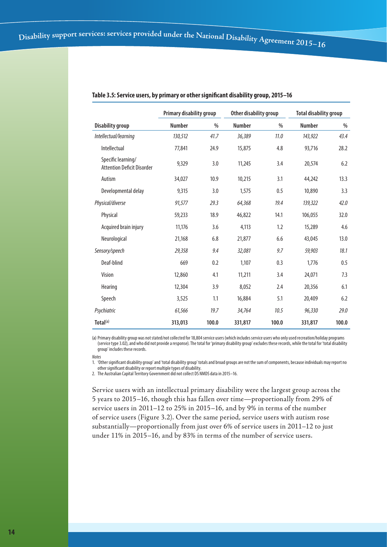|                                                         | Primary disability group |       |               | Other disability group | <b>Total disability group</b> |       |  |
|---------------------------------------------------------|--------------------------|-------|---------------|------------------------|-------------------------------|-------|--|
| <b>Disability group</b>                                 | <b>Number</b>            | %     | <b>Number</b> | %                      | <b>Number</b>                 | %     |  |
| Intellectual/learning                                   | 130,512                  | 41.7  | 36,389        | 11.0                   | 143,922                       | 43.4  |  |
| Intellectual                                            | 77,841                   | 24.9  | 15,875        | 4.8                    | 93,716                        | 28.2  |  |
| Specific learning/<br><b>Attention Deficit Disorder</b> | 9,329                    | 3.0   | 11,245        | 3.4                    | 20,574                        | 6.2   |  |
| Autism                                                  | 34,027                   | 10.9  | 10,215        | 3.1                    | 44,242                        | 13.3  |  |
| Developmental delay                                     | 9,315                    | 3.0   | 1,575         | 0.5                    | 10,890                        | 3.3   |  |
| Physical/diverse                                        | 91,577                   | 29.3  | 64,368        | 19.4                   | 139,322                       | 42.0  |  |
| Physical                                                | 59,233                   | 18.9  | 46,822        | 14.1                   | 106,055                       | 32.0  |  |
| Acquired brain injury                                   | 11,176                   | 3.6   | 4,113         | 1.2                    | 15,289                        | 4.6   |  |
| Neurological                                            | 21,168                   | 6.8   | 21,877        | 6.6                    | 43,045                        | 13.0  |  |
| Sensory/speech                                          | 29,358                   | 9.4   | 32,081        | 9.7                    | 59,903                        | 18.1  |  |
| Deaf-blind                                              | 669                      | 0.2   | 1,107         | 0.3                    | 1.776                         | 0.5   |  |
| Vision                                                  | 12,860                   | 4.1   | 11,211        | 3.4                    | 24,071                        | 7.3   |  |
| Hearing                                                 | 12,304                   | 3.9   | 8.052         | 2.4                    | 20,356                        | 6.1   |  |
| Speech                                                  | 3,525                    | 1.1   | 16,884        | 5.1                    | 20,409                        | 6.2   |  |
| Psychiatric                                             | 61,566                   | 19.7  | 34,764        | 10.5                   | 96,330                        | 29.0  |  |
| Total(a)                                                | 313,013                  | 100.0 | 331,817       | 100.0                  | 331,817                       | 100.0 |  |

#### **Table 3.5: Service users, by primary or other significant disability group, 2015–16**

(a) Primary disability group was not stated/not collected for 18,804 service users (which includes service users who only used recreation/holiday programs (service type 3.02), and who did not provide a response). The total for 'primary disability group' excludes these records, while the total for 'total disability group' includes these records.

*Notes*

1. 'Other significant disability group' and 'total disability group' totals and broad groups are not the sum of components, because individuals may report no other significant disability or report multiple types of disability.

2. The Australian Capital Territory Government did not collect DS NMDS data in 2015–16.

Service users with an intellectual primary disability were the largest group across the 5 years to 2015–16, though this has fallen over time—proportionally from 29% of service users in 2011–12 to 25% in 2015–16, and by 9% in terms of the number of service users (Figure 3.2). Over the same period, service users with autism rose substantially—proportionally from just over 6% of service users in 2011–12 to just under 11% in 2015–16, and by 83% in terms of the number of service users.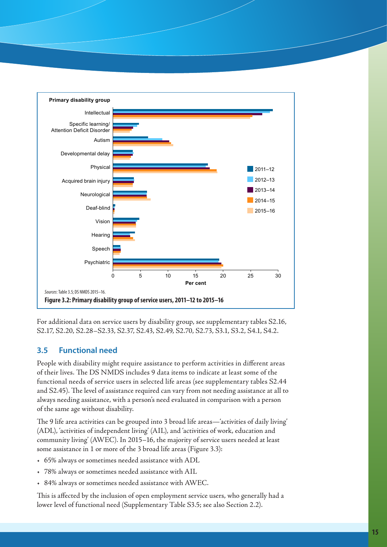

For additional data on service users by disability group, see supplementary tables S2.16, S2.17, S2.20, S2.28–S2.33, S2.37, S2.43, S2.49, S2.70, S2.73, S3.1, S3.2, S4.1, S4.2.

## **3.5 Functional need**

People with disability might require assistance to perform activities in different areas of their lives. The DS NMDS includes 9 data items to indicate at least some of the functional needs of service users in selected life areas (see supplementary tables S2.44 and S2.45). The level of assistance required can vary from not needing assistance at all to always needing assistance, with a person's need evaluated in comparison with a person of the same age without disability.

The 9 life area activities can be grouped into 3 broad life areas—'activities of daily living' (ADL), 'activities of independent living' (AIL), and 'activities of work, education and community living' (AWEC). In 2015–16, the majority of service users needed at least some assistance in 1 or more of the 3 broad life areas (Figure 3.3):

- 65% always or sometimes needed assistance with ADL
- 78% always or sometimes needed assistance with AIL
- 84% always or sometimes needed assistance with AWEC.

This is affected by the inclusion of open employment service users, who generally had a lower level of functional need (Supplementary Table S3.5; see also Section 2.2).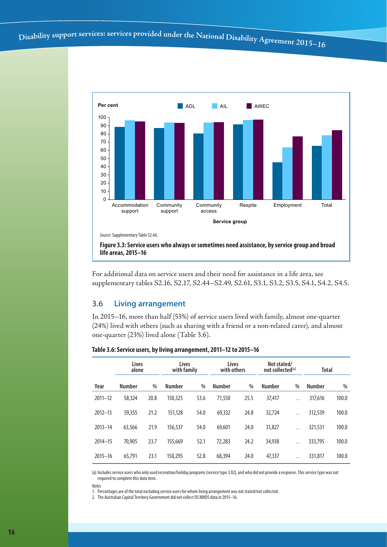

**life areas, 2015–16**

For additional data on service users and their need for assistance in a life area, see supplementary tables S2.16, S2.17, S2.44–S2.49, S2.61, S3.1, S3.2, S3.5, S4.1, S4.2, S4.5.

#### **3.6 Living arrangement**

In 2015–16, more than half (53%) of service users lived with family, almost one-quarter (24%) lived with others (such as sharing with a friend or a non-related carer), and almost one-quarter (23%) lived alone (Table 3.6).

| Table 3.6: Service users, by living arrangement, 2011-12 to 2015-16 |  |  |  |  |  |  |  |  |  |  |  |
|---------------------------------------------------------------------|--|--|--|--|--|--|--|--|--|--|--|
|---------------------------------------------------------------------|--|--|--|--|--|--|--|--|--|--|--|

|             | <b>Lives</b><br>alone |      | Lives<br>with family |      | Lives<br>with others |      | Not stated/<br>not collected <sup>(a)</sup> |                      | <b>Total</b>  |       |
|-------------|-----------------------|------|----------------------|------|----------------------|------|---------------------------------------------|----------------------|---------------|-------|
| Year        | <b>Number</b>         | $\%$ | <b>Number</b>        | $\%$ | <b>Number</b>        | %    | <b>Number</b>                               | $\%$                 | <b>Number</b> | $\%$  |
| $2011 - 12$ | 58,324                | 20.8 | 150,325              | 53.6 | 71,550               | 25.5 | 37,417                                      | $\ddot{\phantom{a}}$ | 317,616       | 100.0 |
| $2012 - 13$ | 59,355                | 21.2 | 151.128              | 54.0 | 69,332               | 24.8 | 32,724                                      | $\ddot{\phantom{0}}$ | 312,539       | 100.0 |
| $2013 - 14$ | 63,566                | 21.9 | 156,537              | 54.0 | 69,601               | 24.0 | 31,827                                      | $\ddot{\phantom{0}}$ | 321,531       | 100.0 |
| $2014 - 15$ | 70.905                | 23.7 | 155.669              | 52.1 | 72,283               | 24.2 | 34,938                                      | $\ddot{\phantom{0}}$ | 333,795       | 100.0 |
| $2015 - 16$ | 65,791                | 23.1 | 150,295              | 52.8 | 68,394               | 24.0 | 47,337                                      | $\ddot{\phantom{0}}$ | 331,817       | 100.0 |

(a) Includes service users who only used recreation/holiday programs (service type 3.02), and who did not provide a response. This service type was not required to complete this data item.

*Notes*

1. Percentages are of the total excluding service users for whom living arrangement was not stated/not collected.

2. The Australian Capital Territory Government did not collect DS NMDS data in 2015–16.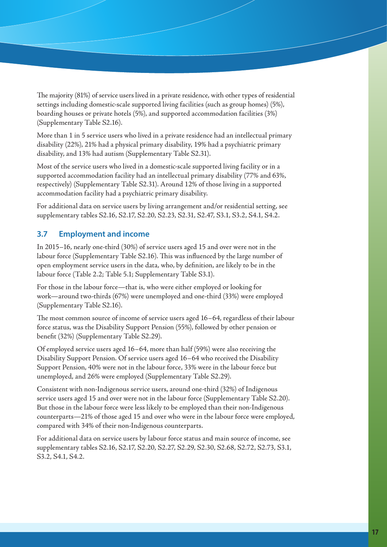The majority (81%) of service users lived in a private residence, with other types of residential settings including domestic-scale supported living facilities (such as group homes) (5%), boarding houses or private hotels (5%), and supported accommodation facilities (3%) (Supplementary Table S2.16).

More than 1 in 5 service users who lived in a private residence had an intellectual primary disability (22%), 21% had a physical primary disability, 19% had a psychiatric primary disability, and 13% had autism (Supplementary Table S2.31).

Most of the service users who lived in a domestic-scale supported living facility or in a supported accommodation facility had an intellectual primary disability (77% and 63%, respectively) (Supplementary Table S2.31). Around 12% of those living in a supported accommodation facility had a psychiatric primary disability.

For additional data on service users by living arrangement and/or residential setting, see supplementary tables S2.16, S2.17, S2.20, S2.23, S2.31, S2.47, S3.1, S3.2, S4.1, S4.2.

## **3.7 Employment and income**

In 2015–16, nearly one-third (30%) of service users aged 15 and over were not in the labour force (Supplementary Table S2.16). This was influenced by the large number of open employment service users in the data, who, by definition, are likely to be in the labour force (Table 2.2; Table 5.1; Supplementary Table S3.1).

For those in the labour force—that is, who were either employed or looking for work—around two-thirds (67%) were unemployed and one-third (33%) were employed (Supplementary Table S2.16).

The most common source of income of service users aged 16–64, regardless of their labour force status, was the Disability Support Pension (55%), followed by other pension or benefit (32%) (Supplementary Table S2.29).

Of employed service users aged 16–64, more than half (59%) were also receiving the Disability Support Pension. Of service users aged 16–64 who received the Disability Support Pension, 40% were not in the labour force, 33% were in the labour force but unemployed, and 26% were employed (Supplementary Table S2.29).

Consistent with non-Indigenous service users, around one-third (32%) of Indigenous service users aged 15 and over were not in the labour force (Supplementary Table S2.20). But those in the labour force were less likely to be employed than their non-Indigenous counterparts—21% of those aged 15 and over who were in the labour force were employed, compared with 34% of their non-Indigenous counterparts.

For additional data on service users by labour force status and main source of income, see supplementary tables S2.16, S2.17, S2.20, S2.27, S2.29, S2.30, S2.68, S2.72, S2.73, S3.1, S3.2, S4.1, S4.2.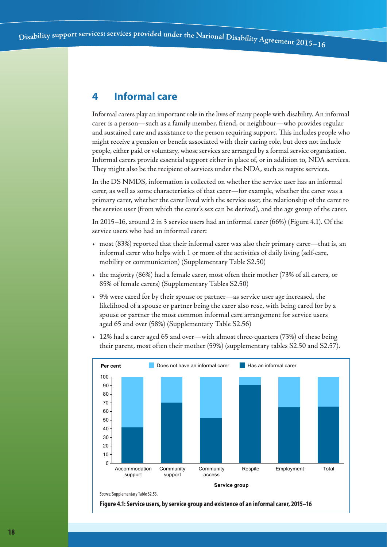# **4 Informal care**

Informal carers play an important role in the lives of many people with disability. An informal carer is a person—such as a family member, friend, or neighbour—who provides regular and sustained care and assistance to the person requiring support. This includes people who might receive a pension or benefit associated with their caring role, but does not include people, either paid or voluntary, whose services are arranged by a formal service organisation. Informal carers provide essential support either in place of, or in addition to, NDA services. They might also be the recipient of services under the NDA, such as respite services.

In the DS NMDS, information is collected on whether the service user has an informal carer, as well as some characteristics of that carer—for example, whether the carer was a primary carer, whether the carer lived with the service user, the relationship of the carer to the service user (from which the carer's sex can be derived), and the age group of the carer.

In 2015–16, around 2 in 3 service users had an informal carer (66%) (Figure 4.1). Of the service users who had an informal carer:

- most (83%) reported that their informal carer was also their primary carer—that is, an informal carer who helps with 1 or more of the activities of daily living (self-care, mobility or communication) (Supplementary Table S2.50)
- the majority (86%) had a female carer, most often their mother (73% of all carers, or 85% of female carers) (Supplementary Tables S2.50)
- 9% were cared for by their spouse or partner—as service user age increased, the likelihood of a spouse or partner being the carer also rose, with being cared for by a spouse or partner the most common informal care arrangement for service users aged 65 and over (58%) (Supplementary Table S2.56)
- 12% had a carer aged 65 and over—with almost three-quarters (73%) of these being their parent, most often their mother (59%) (supplementary tables S2.50 and S2.57).



**Figure 4.1: Service users, by service group and existence of an informal carer, 2015–16**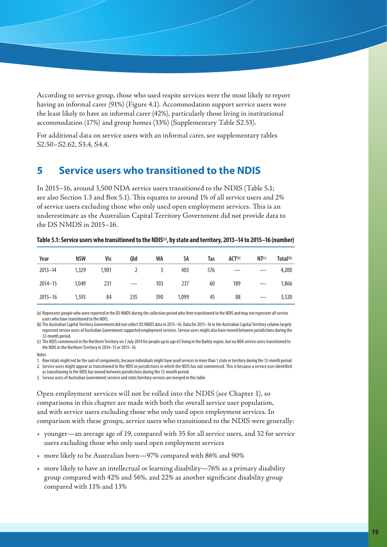According to service group, those who used respite services were the most likely to report having an informal carer (91%) (Figure 4.1). Accommodation support service users were the least likely to have an informal carer (42%), particularly those living in institutional accommodation (17%) and group homes (33%) (Supplementary Table S2.53).

For additional data on service users with an informal carer, see supplementary tables S2.50–S2.62, S3.4, S4.4.

# **5 Service users who transitioned to the NDIS**

In 2015–16, around 3,500 NDA service users transitioned to the NDIS (Table 5.1; see also Section 1.3 and Box 5.1). This equates to around 1% of all service users and 2% of service users excluding those who only used open employment services. This is an underestimate as the Australian Capital Territory Government did not provide data to the DS NMDS in 2015–16.

| Year        | <b>NSW</b> | Vic   | Qld | WA  | SA    | Tas | ACT <sup>(b)</sup> | NT <sup>(c)</sup> | Total <sup>(b)</sup> |
|-------------|------------|-------|-----|-----|-------|-----|--------------------|-------------------|----------------------|
| $2013 - 14$ | 1,329      | 1,901 |     |     | 403   | 576 |                    |                   | 4,200                |
| $2014 - 15$ | 1,049      | 231   |     | 103 | 237   | 60  | 189                |                   | 1,866                |
| $2015 - 16$ | 1,593      | 84    | 235 | 390 | 1,099 | 45  | 88                 |                   | 3,520                |

**Table 5.1: Service users who transitioned to the NDIS**(a)**, by state and territory, 2013–14 to 2015–16 (number)**

(a) Represents people who were reported in the DS NMDS during the collection period who then transitioned to the NDIS and may not represent all service users who have transitioned to the NDIS.

(b)The Australian Capital Territory Government did not collect DS NMDS data in 2015–16. Data for 2015–16 in the Australian Capital Territory column largely represent service users of Australian Government supported employment services. Service users might also have moved between jurisdictions during the 12-month period.

(c) The NDIS commenced in the Northern Territory on 1 July 2014 for people up to age 65 living in the Barkly region, but no NDA service users transitioned to the NDIS in the Northern Territory in 2014–15 or 2015–16.

#### Notes

1. Row totals might not be the sum of components, because individuals might have used services in more than 1 state or territory during the 12-month period. 2. Service users might appear as transitioned to the NDIS in jurisdictions in which the NDIS has not commenced. This is because a service user identified as transitioning to the NDIS has moved between jurisdictions during the 12-month period.

3. Service users of Australian Government services and state/territory services are merged in this table.

Open employment services will not be rolled into the NDIS (see Chapter 1), so comparisons in this chapter are made with both the overall service user population, and with service users excluding those who only used open employment services. In comparison with these groups, service users who transitioned to the NDIS were generally:

- younger—an average age of 19, compared with 35 for all service users, and 32 for service users excluding those who only used open employment services
- more likely to be Australian born—97% compared with 86% and 90%
- more likely to have an intellectual or learning disability—76% as a primary disability group compared with 42% and 56%, and 22% as another significant disability group compared with 11% and 13%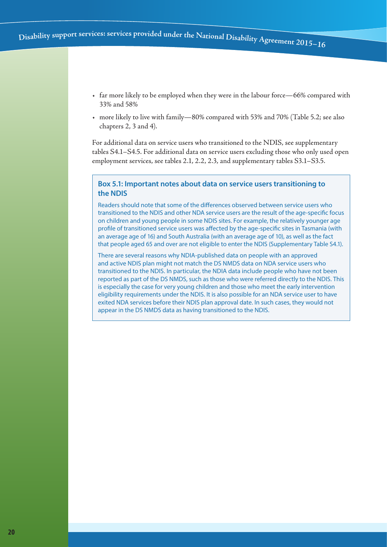- far more likely to be employed when they were in the labour force—66% compared with 33% and 58%
- more likely to live with family—80% compared with 53% and 70% (Table 5.2; see also chapters 2, 3 and 4).

For additional data on service users who transitioned to the NDIS, see supplementary tables S4.1–S4.5. For additional data on service users excluding those who only used open employment services, see tables 2.1, 2.2, 2.3, and supplementary tables S3.1–S3.5.

#### **Box 5.1: Important notes about data on service users transitioning to the NDIS**

Readers should note that some of the differences observed between service users who transitioned to the NDIS and other NDA service users are the result of the age-specific focus on children and young people in some NDIS sites. For example, the relatively younger age profile of transitioned service users was affected by the age-specific sites in Tasmania (with an average age of 16) and South Australia (with an average age of 10), as well as the fact that people aged 65 and over are not eligible to enter the NDIS (Supplementary Table S4.1).

There are several reasons why NDIA-published data on people with an approved and active NDIS plan might not match the DS NMDS data on NDA service users who transitioned to the NDIS. In particular, the NDIA data include people who have not been reported as part of the DS NMDS, such as those who were referred directly to the NDIS. This is especially the case for very young children and those who meet the early intervention eligibility requirements under the NDIS. It is also possible for an NDA service user to have exited NDA services before their NDIS plan approval date. In such cases, they would not appear in the DS NMDS data as having transitioned to the NDIS.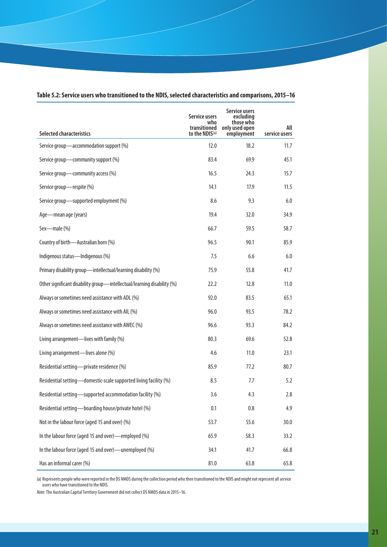| <b>Selected characteristics</b>                                         | <b>Service users</b><br>who<br>transitioned<br>to the NDIS(a) | Service users<br>excluding<br>those who<br>only used open<br>employment | All<br>service users |
|-------------------------------------------------------------------------|---------------------------------------------------------------|-------------------------------------------------------------------------|----------------------|
| Service group-accommodation support (%)                                 | 12.0                                                          | 18.2                                                                    | 11.7                 |
| Service group-community support (%)                                     | 83.4                                                          | 69.9                                                                    | 45.1                 |
| Service group-community access (%)                                      | 16.5                                                          | 24.3                                                                    | 15.7                 |
| Service group-respite (%)                                               | 14.1                                                          | 17.9                                                                    | 11.5                 |
| Service group-supported employment (%)                                  | 8.6                                                           | 9.3                                                                     | 6.0                  |
| Age-mean age (years)                                                    | 19.4                                                          | 32.0                                                                    | 34.9                 |
| Sex-male (%)                                                            | 66.7                                                          | 59.5                                                                    | 58.7                 |
| Country of birth-Australian born (%)                                    | 96.5                                                          | 90.1                                                                    | 85.9                 |
| Indigenous status-Indigenous (%)                                        | 7.5                                                           | 6.6                                                                     | 6.0                  |
| Primary disability group-intellectual/learning disability (%)           | 75.9                                                          | 55.8                                                                    | 41.7                 |
| Other significant disability group-intellectual/learning disability (%) | 22.2                                                          | 12.8                                                                    | 11.0                 |
| Always or sometimes need assistance with ADL (%)                        | 92.0                                                          | 83.5                                                                    | 65.1                 |
| Always or sometimes need assistance with AIL (%)                        | 96.0                                                          | 93.5                                                                    | 78.2                 |
| Always or sometimes need assistance with AWEC (%)                       | 96.6                                                          | 93.3                                                                    | 84.2                 |
| Living arrangement—lives with family (%)                                | 80.3                                                          | 69.6                                                                    | 52.8                 |
| Living arrangement-lives alone (%)                                      | 4.6                                                           | 11.0                                                                    | 23.1                 |
| Residential setting-private residence (%)                               | 85.9                                                          | 77.2                                                                    | 80.7                 |
| Residential setting—domestic-scale supported living facility (%)        | 8.5                                                           | 7.7                                                                     | 5.2                  |
| Residential setting-supported accommodation facility (%)                | 3.6                                                           | 4.3                                                                     | 2.8                  |
| Residential setting-boarding house/private hotel (%)                    | 0.1                                                           | 0.8                                                                     | 4.9                  |
| Not in the labour force (aged 15 and over) (%)                          | 53.7                                                          | 55.6                                                                    | 30.0                 |
| In the labour force (aged 15 and over)-employed (%)                     | 65.9                                                          | 58.3                                                                    | 33.2                 |
| In the labour force (aged 15 and over)—unemployed (%)                   | 34.1                                                          | 41.7                                                                    | 66.8                 |
| Has an informal carer (%)                                               | 81.0                                                          | 63.8                                                                    | 65.8                 |

#### **Table 5.2: Service users who transitioned to the NDIS, selected characteristics and comparisons, 2015–16**

(a) Represents people who were reported in the DS NMDS during the collection period who then transitioned to the NDIS and might not represent all service users who have transitioned to the NDIS.

*Note*: The Australian Capital Territory Government did not collect DS NMDS data in 2015–16.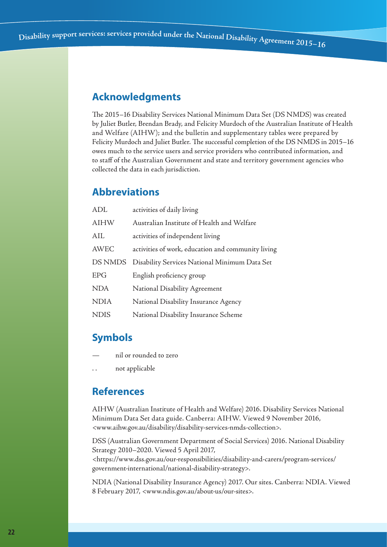## **Acknowledgments**

The 2015–16 Disability Services National Minimum Data Set (DS NMDS) was created by Juliet Butler, Brendan Brady, and Felicity Murdoch of the Australian Institute of Health and Welfare (AIHW); and the bulletin and supplementary tables were prepared by Felicity Murdoch and Juliet Butler. The successful completion of the DS NMDS in 2015–16 owes much to the service users and service providers who contributed information, and to staff of the Australian Government and state and territory government agencies who collected the data in each jurisdiction.

# **Abbreviations**

| <b>ADL</b>  | activities of daily living                         |
|-------------|----------------------------------------------------|
| <b>AIHW</b> | Australian Institute of Health and Welfare         |
| AIL         | activities of independent living                   |
| AWEC        | activities of work, education and community living |
| DS NMDS     | Disability Services National Minimum Data Set      |
| <b>EPG</b>  | English proficiency group                          |
| <b>NDA</b>  | National Disability Agreement                      |
| <b>NDIA</b> | National Disability Insurance Agency               |
| <b>NDIS</b> | National Disability Insurance Scheme               |

## **Symbols**

- nil or rounded to zero
- not applicable

# **References**

AIHW (Australian Institute of Health and Welfare) 2016. Disability Services National Minimum Data Set data guide. Canberra: AIHW. Viewed 9 November 2016, <www.aihw.gov.au/disability/disability-services-nmds-collection>.

DSS (Australian Government Department of Social Services) 2016. National Disability Strategy 2010–2020. Viewed 5 April 2017,

<https://www.dss.gov.au/our-responsibilities/disability-and-carers/program-services/ government-international/national-disability-strategy>.

NDIA (National Disability Insurance Agency) 2017. Our sites. Canberra: NDIA. Viewed 8 February 2017, <www.ndis.gov.au/about-us/our-sites>.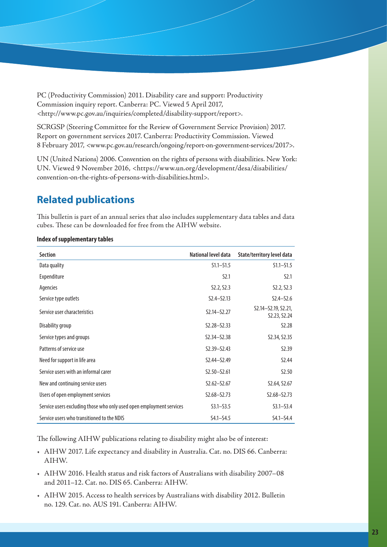PC (Productivity Commission) 2011. Disability care and support: Productivity Commission inquiry report. Canberra: PC. Viewed 5 April 2017, <http://www.pc.gov.au/inquiries/completed/disability-support/report>.

SCRGSP (Steering Committee for the Review of Government Service Provision) 2017. Report on government services 2017. Canberra: Productivity Commission. Viewed 8 February 2017, <www.pc.gov.au/research/ongoing/report-on-government-services/2017>.

UN (United Nations) 2006. Convention on the rights of persons with disabilities. New York: UN. Viewed 9 November 2016, <https://www.un.org/development/desa/disabilities/ convention-on-the-rights-of-persons-with-disabilities.html>.

# **Related publications**

This bulletin is part of an annual series that also includes supplementary data tables and data cubes. These can be downloaded for free from the AIHW website.

| <b>Section</b>                                                       | National level data | State/territory level data          |
|----------------------------------------------------------------------|---------------------|-------------------------------------|
| Data quality                                                         | $S1.1 - S1.5$       | $S1.1 - S1.5$                       |
| Expenditure                                                          | 52.1                | 52.1                                |
| Agencies                                                             | S2.2, S2.3          | S2.2, S2.3                          |
| Service type outlets                                                 | $S2.4 - S2.13$      | $S2.4 - S2.6$                       |
| Service user characteristics                                         | $S2.14 - S2.27$     | S2.14-S2.19, S2.21,<br>S2.23, S2.24 |
| Disability group                                                     | $S2.28 - S2.33$     | S <sub>2.28</sub>                   |
| Service types and groups                                             | $S2.34 - S2.38$     | S2.34, S2.35                        |
| Patterns of service use                                              | $S2.39 - S2.43$     | S <sub>2.39</sub>                   |
| Need for support in life area                                        | $S2.44 - S2.49$     | S <sub>2.44</sub>                   |
| Service users with an informal carer                                 | $S2.50 - S2.61$     | S <sub>2.50</sub>                   |
| New and continuing service users                                     | $S2.62 - S2.67$     | S2.64, S2.67                        |
| Users of open employment services                                    | $S2.68 - S2.73$     | $S2.68 - S2.73$                     |
| Service users excluding those who only used open employment services | $S3.1 - S3.5$       | $S3.1 - S3.4$                       |
| Service users who transitioned to the NDIS                           | $S4.1 - S4.5$       | $S4.1 - S4.4$                       |

**Index of supplementary tables**

The following AIHW publications relating to disability might also be of interest:

- AIHW 2017. Life expectancy and disability in Australia. Cat. no. DIS 66. Canberra: AIHW.
- AIHW 2016. Health status and risk factors of Australians with disability 2007–08 and 2011–12. Cat. no. DIS 65. Canberra: AIHW.
- AIHW 2015. Access to health services by Australians with disability 2012. Bulletin no. 129. Cat. no. AUS 191. Canberra: AIHW.